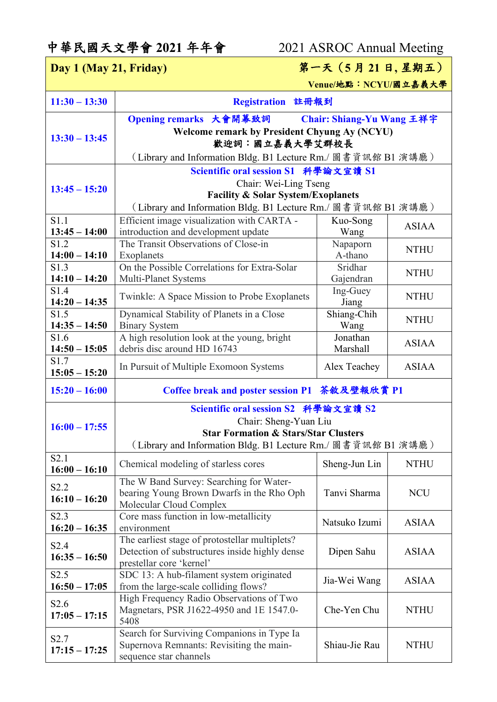## 中華民國天文學會 **2021** 年年會 2021 ASROC Annual Meeting

| Day 1 (May 21, Friday)              |                                                               | 第一天 (5月21日,星期五)           |              |  |
|-------------------------------------|---------------------------------------------------------------|---------------------------|--------------|--|
|                                     |                                                               | Venue/地點: NCYU/國立嘉義大學     |              |  |
| $11:30 - 13:30$                     | Registration 註冊報到                                             |                           |              |  |
|                                     | Opening remarks 大會開幕致詞                                        | Chair: Shiang-Yu Wang 王祥宇 |              |  |
|                                     | <b>Welcome remark by President Chyung Ay (NCYU)</b>           |                           |              |  |
| $13:30 - 13:45$                     | 歡迎詞:國立嘉義大學艾群校長                                                |                           |              |  |
|                                     | (Library and Information Bldg. B1 Lecture Rm./ 圖書資訊館 B1 演講廳 ) |                           |              |  |
|                                     | Scientific oral session S1 科學論文宣讀 S1                          |                           |              |  |
| $13:45 - 15:20$                     | Chair: Wei-Ling Tseng                                         |                           |              |  |
|                                     | <b>Facility &amp; Solar System/Exoplanets</b>                 |                           |              |  |
|                                     | (Library and Information Bldg. B1 Lecture Rm./ 圖書資訊館 B1 演講廳)  |                           |              |  |
| S1.1                                | Efficient image visualization with CARTA -                    | Kuo-Song                  | <b>ASIAA</b> |  |
| $13:45 - 14:00$<br>S1.2             | introduction and development update                           | Wang                      |              |  |
| $14:00 - 14:10$                     | The Transit Observations of Close-in<br>Exoplanets            | Napaporn<br>A-thano       | <b>NTHU</b>  |  |
| S <sub>1</sub> .3                   | On the Possible Correlations for Extra-Solar                  | Sridhar                   |              |  |
| $14:10 - 14:20$                     | Multi-Planet Systems                                          | Gajendran                 | <b>NTHU</b>  |  |
| S1.4                                |                                                               | Ing-Guey                  |              |  |
| $14:20 - 14:35$                     | Twinkle: A Space Mission to Probe Exoplanets                  | Jiang                     | <b>NTHU</b>  |  |
| S1.5                                | Dynamical Stability of Planets in a Close                     | Shiang-Chih               | <b>NTHU</b>  |  |
| $14:35 - 14:50$                     | <b>Binary System</b>                                          | Wang                      |              |  |
| S1.6                                | A high resolution look at the young, bright                   | Jonathan                  | <b>ASIAA</b> |  |
| $14:50 - 15:05$<br>S1.7             | debris disc around HD 16743                                   | Marshall                  |              |  |
| $15:05 - 15:20$                     | In Pursuit of Multiple Exomoon Systems                        | Alex Teachey              | <b>ASIAA</b> |  |
| $15:20 - 16:00$                     | Coffee break and poster session P1 茶敘及壁報欣賞 P1                 |                           |              |  |
|                                     | Scientific oral session S2 科學論文宣讀 S2                          |                           |              |  |
| $16:00 - 17:55$                     | Chair: Sheng-Yuan Liu                                         |                           |              |  |
|                                     | <b>Star Formation &amp; Stars/Star Clusters</b>               |                           |              |  |
|                                     | (Library and Information Bldg. B1 Lecture Rm./ 圖書資訊館 B1 演講廳)  |                           |              |  |
| S2.1<br>$16:00 - 16:10$             | Chemical modeling of starless cores                           | Sheng-Jun Lin             | <b>NTHU</b>  |  |
| S <sub>2.2</sub>                    | The W Band Survey: Searching for Water-                       |                           |              |  |
| $16:10 - 16:20$                     | bearing Young Brown Dwarfs in the Rho Oph                     | Tanvi Sharma              | <b>NCU</b>   |  |
|                                     | Molecular Cloud Complex                                       |                           |              |  |
| S <sub>2.3</sub><br>$16:20 - 16:35$ | Core mass function in low-metallicity<br>environment          | Natsuko Izumi             | <b>ASIAA</b> |  |
|                                     | The earliest stage of protostellar multiplets?                |                           |              |  |
| S <sub>2.4</sub>                    | Detection of substructures inside highly dense                | Dipen Sahu                | <b>ASIAA</b> |  |
| $16:35 - 16:50$                     | prestellar core 'kernel'                                      |                           |              |  |
| S <sub>2.5</sub>                    | SDC 13: A hub-filament system originated                      | Jia-Wei Wang              | <b>ASIAA</b> |  |
| $16:50 - 17:05$                     | from the large-scale colliding flows?                         |                           |              |  |
| S2.6                                | High Frequency Radio Observations of Two                      |                           |              |  |
| $17:05 - 17:15$                     | Magnetars, PSR J1622-4950 and 1E 1547.0-<br>5408              | Che-Yen Chu               | <b>NTHU</b>  |  |
|                                     | Search for Surviving Companions in Type Ia                    |                           |              |  |
| S <sub>2.7</sub>                    | Supernova Remnants: Revisiting the main-                      | Shiau-Jie Rau             | <b>NTHU</b>  |  |
| $17:15 - 17:25$                     | sequence star channels                                        |                           |              |  |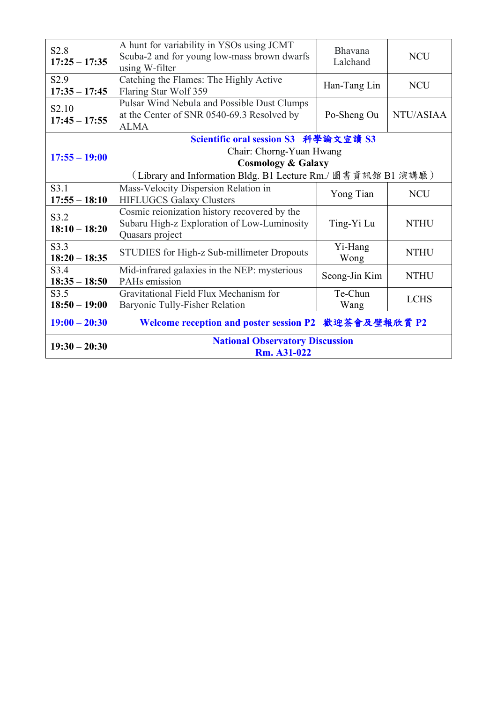| S <sub>2.8</sub><br>$17:25 - 17:35$  | A hunt for variability in YSOs using JCMT<br>Scuba-2 and for young low-mass brown dwarfs<br>using W-filter                                                        | Bhavana<br>Lalchand | <b>NCU</b>  |
|--------------------------------------|-------------------------------------------------------------------------------------------------------------------------------------------------------------------|---------------------|-------------|
| S <sub>2.9</sub><br>$17:35 - 17:45$  | Catching the Flames: The Highly Active<br>Flaring Star Wolf 359                                                                                                   | Han-Tang Lin        | <b>NCU</b>  |
| S <sub>2.10</sub><br>$17:45 - 17:55$ | Pulsar Wind Nebula and Possible Dust Clumps<br>at the Center of SNR 0540-69.3 Resolved by<br><b>ALMA</b>                                                          | Po-Sheng Ou         | NTU/ASIAA   |
| $17:55 - 19:00$                      | Scientific oral session S3 科學論文宣讀 S3<br>Chair: Chorng-Yuan Hwang<br><b>Cosmology &amp; Galaxy</b><br>(Library and Information Bldg. B1 Lecture Rm./ 圖書資訊館 B1 演講廳) |                     |             |
| S3.1<br>$17:55 - 18:10$              | Mass-Velocity Dispersion Relation in<br><b>HIFLUGCS Galaxy Clusters</b>                                                                                           | Yong Tian           | <b>NCU</b>  |
| S3.2<br>$18:10 - 18:20$              | Cosmic reionization history recovered by the<br>Subaru High-z Exploration of Low-Luminosity<br>Quasars project                                                    | Ting-Yi Lu          | <b>NTHU</b> |
| S <sub>3</sub> .3<br>$18:20 - 18:35$ | STUDIES for High-z Sub-millimeter Dropouts                                                                                                                        | Yi-Hang<br>Wong     | <b>NTHU</b> |
| S <sub>3.4</sub><br>$18:35 - 18:50$  | Mid-infrared galaxies in the NEP: mysterious<br>PAHs emission                                                                                                     | Seong-Jin Kim       | <b>NTHU</b> |
| S3.5<br>$18:50 - 19:00$              | Gravitational Field Flux Mechanism for<br>Baryonic Tully-Fisher Relation                                                                                          | Te-Chun<br>Wang     | <b>LCHS</b> |
| $19:00 - 20:30$                      | Welcome reception and poster session P2 歡迎茶會及壁報欣賞 P2                                                                                                              |                     |             |
| $19:30 - 20:30$                      | <b>National Observatory Discussion</b><br>Rm. A31-022                                                                                                             |                     |             |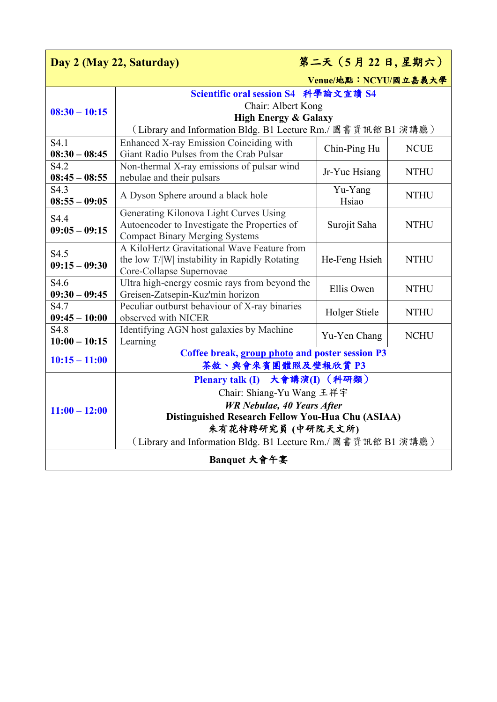| 第二天 (5月22日,星期六)<br>Day 2 (May 22, Saturday)                  |                                                                                                                                 |                  |             |  |
|--------------------------------------------------------------|---------------------------------------------------------------------------------------------------------------------------------|------------------|-------------|--|
| Venue/地點: NCYU/國立嘉義大學                                        |                                                                                                                                 |                  |             |  |
|                                                              | Scientific oral session S4 科學論文宣讀 S4                                                                                            |                  |             |  |
| $08:30 - 10:15$                                              | Chair: Albert Kong                                                                                                              |                  |             |  |
|                                                              | <b>High Energy &amp; Galaxy</b><br>(Library and Information Bldg. B1 Lecture Rm./ 圖書資訊館 B1 演講廳)                                 |                  |             |  |
| S <sub>4.1</sub>                                             | Enhanced X-ray Emission Coinciding with                                                                                         |                  |             |  |
| $08:30 - 08:45$                                              | Giant Radio Pulses from the Crab Pulsar                                                                                         | Chin-Ping Hu     | <b>NCUE</b> |  |
| S4.2<br>$08:45 - 08:55$                                      | Non-thermal X-ray emissions of pulsar wind<br>nebulae and their pulsars                                                         | Jr-Yue Hsiang    | <b>NTHU</b> |  |
| S <sub>4.3</sub><br>$08:55 - 09:05$                          | A Dyson Sphere around a black hole                                                                                              | Yu-Yang<br>Hsiao | <b>NTHU</b> |  |
| S4.4<br>$09:05 - 09:15$                                      | Generating Kilonova Light Curves Using<br>Autoencoder to Investigate the Properties of<br><b>Compact Binary Merging Systems</b> | Surojit Saha     | <b>NTHU</b> |  |
| S4.5<br>$09:15 - 09:30$                                      | A KiloHertz Gravitational Wave Feature from<br>the low T/W instability in Rapidly Rotating<br>Core-Collapse Supernovae          | He-Feng Hsieh    | <b>NTHU</b> |  |
| S <sub>4.6</sub><br>$09:30 - 09:45$                          | Ultra high-energy cosmic rays from beyond the<br>Greisen-Zatsepin-Kuz'min horizon                                               | Ellis Owen       | <b>NTHU</b> |  |
| S <sub>4.7</sub><br>$09:45 - 10:00$                          | Peculiar outburst behaviour of X-ray binaries<br>observed with NICER                                                            | Holger Stiele    | <b>NTHU</b> |  |
| S4.8                                                         | Identifying AGN host galaxies by Machine                                                                                        | Yu-Yen Chang     | <b>NCHU</b> |  |
| $10:00 - 10:15$                                              | Learning                                                                                                                        |                  |             |  |
| $10:15 - 11:00$                                              | Coffee break, group photo and poster session P3<br>茶敘、與會來賓團體照及壁報欣賞 P3                                                           |                  |             |  |
| $11:00 - 12:00$                                              | Plenary talk (I) 大會講演(I) (科研類)                                                                                                  |                  |             |  |
|                                                              | Chair: Shiang-Yu Wang 王祥宇                                                                                                       |                  |             |  |
|                                                              | <b>WR Nebulae, 40 Years After</b>                                                                                               |                  |             |  |
|                                                              | Distinguished Research Fellow You-Hua Chu (ASIAA)                                                                               |                  |             |  |
|                                                              | 朱有花特聘研究員(中研院天文所)                                                                                                                |                  |             |  |
| (Library and Information Bldg. B1 Lecture Rm./ 圖書資訊館 B1 演講廳) |                                                                                                                                 |                  |             |  |
| Banquet 大會午宴                                                 |                                                                                                                                 |                  |             |  |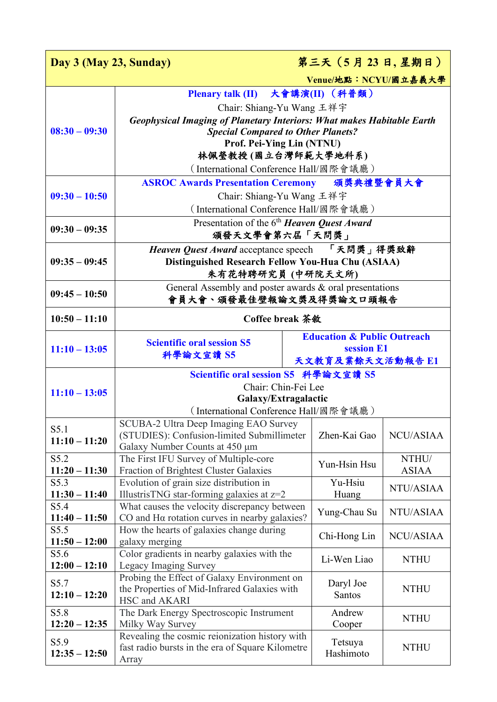| 第三天 (5月23日,星期日)<br>Day 3 (May 23, Sunday) |                                                                                          |  |                                        |              |
|-------------------------------------------|------------------------------------------------------------------------------------------|--|----------------------------------------|--------------|
| Venue/地點: NCYU/國立嘉義大學                     |                                                                                          |  |                                        |              |
|                                           | Plenary talk (II) 大會講演(II) (科普類)                                                         |  |                                        |              |
|                                           | Chair: Shiang-Yu Wang 王祥宇                                                                |  |                                        |              |
|                                           | <b>Geophysical Imaging of Planetary Interiors: What makes Habitable Earth</b>            |  |                                        |              |
| $08:30 - 09:30$                           | <b>Special Compared to Other Planets?</b>                                                |  |                                        |              |
|                                           | Prof. Pei-Ying Lin (NTNU)                                                                |  |                                        |              |
|                                           | 林佩瑩教授(國立台灣師範大學地科系)                                                                       |  |                                        |              |
|                                           | (International Conference Hall/國際會議廳)                                                    |  |                                        |              |
|                                           | ASROC Awards Presentation Ceremony 頒獎典禮暨會員大會                                             |  |                                        |              |
| $09:30 - 10:50$                           | Chair: Shiang-Yu Wang 王祥宇                                                                |  |                                        |              |
|                                           | (International Conference Hall/國際會議廳)                                                    |  |                                        |              |
| $09:30 - 09:35$                           | Presentation of the 6 <sup>th</sup> Heaven Quest Award                                   |  |                                        |              |
|                                           | 頒發天文學會第六屆「天問獎」                                                                           |  |                                        |              |
|                                           | Heaven Quest Award acceptance speech 「天問獎」得獎致辭                                           |  |                                        |              |
| $09:35 - 09:45$                           | Distinguished Research Fellow You-Hua Chu (ASIAA)                                        |  |                                        |              |
|                                           | 朱有花特聘研究員 (中研院天文所)                                                                        |  |                                        |              |
| $09:45 - 10:50$                           | General Assembly and poster awards $\&$ oral presentations<br>會員大會、頒發最佳壁報論文獎及得獎論文口頭報告    |  |                                        |              |
|                                           |                                                                                          |  |                                        |              |
| $10:50 - 11:10$                           | <b>Coffee break 茶敘</b>                                                                   |  |                                        |              |
|                                           | <b>Scientific oral session S5</b>                                                        |  | <b>Education &amp; Public Outreach</b> |              |
| $11:10 - 13:05$                           | 科學論文宣讀 S5                                                                                |  | session E1<br>天文教育及業餘天文活動報告 E1         |              |
|                                           | Scientific oral session S5 科學論文宣讀 S5                                                     |  |                                        |              |
|                                           | Chair: Chin-Fei Lee                                                                      |  |                                        |              |
| $11:10 - 13:05$                           | Galaxy/Extragalactic                                                                     |  |                                        |              |
|                                           | (International Conference Hall/國際會議廳 )                                                   |  |                                        |              |
| S5.1                                      | SCUBA-2 Ultra Deep Imaging EAO Survey                                                    |  |                                        |              |
| $11:10 - 11:20$                           | (STUDIES): Confusion-limited Submillimeter                                               |  | Zhen-Kai Gao                           | NCU/ASIAA    |
|                                           | Galaxy Number Counts at 450 μm                                                           |  |                                        |              |
| S5.2                                      | The First IFU Survey of Multiple-core                                                    |  | Yun-Hsin Hsu                           | NTHU/        |
| $11:20 - 11:30$<br>S5.3                   | <b>Fraction of Brightest Cluster Galaxies</b><br>Evolution of grain size distribution in |  | Yu-Hsiu                                | <b>ASIAA</b> |
| $11:30 - 11:40$                           | IllustrisTNG star-forming galaxies at $z=2$                                              |  | Huang                                  | NTU/ASIAA    |
| S5.4                                      | What causes the velocity discrepancy between                                             |  |                                        |              |
| $11:40 - 11:50$                           | CO and H $\alpha$ rotation curves in nearby galaxies?                                    |  | Yung-Chau Su                           | NTU/ASIAA    |
| S5.5                                      | How the hearts of galaxies change during                                                 |  | Chi-Hong Lin                           | NCU/ASIAA    |
| $11:50 - 12:00$                           | galaxy merging                                                                           |  |                                        |              |
| S5.6                                      | Color gradients in nearby galaxies with the                                              |  | Li-Wen Liao                            | <b>NTHU</b>  |
| $12:00 - 12:10$                           | Legacy Imaging Survey<br>Probing the Effect of Galaxy Environment on                     |  |                                        |              |
| S5.7<br>$12:10 - 12:20$                   | the Properties of Mid-Infrared Galaxies with                                             |  | Daryl Joe                              | <b>NTHU</b>  |
|                                           | HSC and AKARI                                                                            |  | Santos                                 |              |
| S5.8                                      | The Dark Energy Spectroscopic Instrument                                                 |  | Andrew                                 |              |
| $12:20 - 12:35$                           | Milky Way Survey                                                                         |  | Cooper                                 | <b>NTHU</b>  |
| S5.9                                      | Revealing the cosmic reionization history with                                           |  | Tetsuya                                |              |
| $12:35 - 12:50$                           | fast radio bursts in the era of Square Kilometre                                         |  | <b>NTHU</b><br>Hashimoto               |              |
|                                           | Array                                                                                    |  |                                        |              |